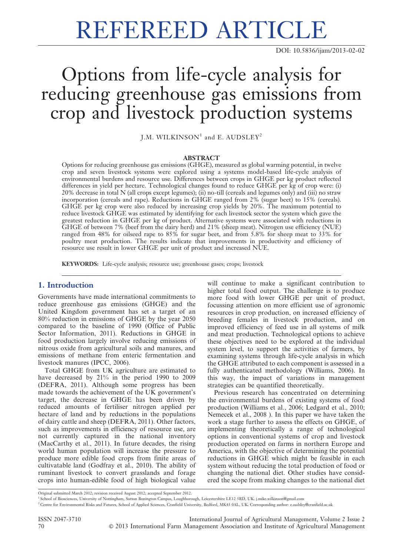# REFEREED ARTICLE

DOI: 10.5836/ijam/2013-02-02

## Options from life-cycle analysis for reducing greenhouse gas emissions from crop and livestock production systems

J.M. WILKINSON<sup>1</sup> and E. AUDSLEY<sup>2</sup>

### **ABSTRACT**

Options for reducing greenhouse gas emissions (GHGE), measured as global warming potential, in twelve crop and seven livestock systems were explored using a systems model-based life-cycle analysis of environmental burdens and resource use. Differences between crops in GHGE per kg product reflected differences in yield per hectare. Technological changes found to reduce GHGE per kg of crop were: (i) 20% decrease in total N (all crops except legumes); (ii) no-till (cereals and legumes only) and (iii) no straw incorporation (cereals and rape). Reductions in GHGE ranged from 2% (sugar beet) to 15% (cereals). GHGE per kg crop were also reduced by increasing crop yields by 20%. The maximum potential to reduce livestock GHGE was estimated by identifying for each livestock sector the system which gave the greatest reduction in GHGE per kg of product. Alternative systems were associated with reductions in GHGE of between 7% (beef from the dairy herd) and 21% (sheep meat). Nitrogen use efficiency (NUE) ranged from 48% for oilseed rape to 85% for sugar beet, and from 5.8% for sheep meat to 33% for poultry meat production. The results indicate that improvements in productivity and efficiency of resource use result in lower GHGE per unit of product and increased NUE.

KEYWORDS: Life-cycle analysis; resource use; greenhouse gases; crops; livestock

### 1. Introduction

Governments have made international commitments to reduce greenhouse gas emissions (GHGE) and the United Kingdom government has set a target of an 80% reduction in emissions of GHGE by the year 2050 compared to the baseline of 1990 (Office of Public Sector Information, 2011). Reductions in GHGE in food production largely involve reducing emissions of nitrous oxide from agricultural soils and manures, and emissions of methane from enteric fermentation and livestock manures (IPCC, 2006).

Total GHGE from UK agriculture are estimated to have decreased by 21% in the period 1990 to 2009 (DEFRA, 2011). Although some progress has been made towards the achievement of the UK government's target, the decrease in GHGE has been driven by reduced amounts of fertiliser nitrogen applied per hectare of land and by reductions in the populations of dairy cattle and sheep (DEFRA, 2011). Other factors, such as improvements in efficiency of resource use, are not currently captured in the national inventory (MacCarthy et al., 2011). In future decades, the rising world human population will increase the pressure to produce more edible food crops from finite areas of cultivatable land (Godfray et al., 2010). The ability of ruminant livestock to convert grasslands and forage crops into human-edible food of high biological value will continue to make a significant contribution to higher total food output. The challenge is to produce more food with lower GHGE per unit of product, focussing attention on more efficient use of agronomic resources in crop production, on increased efficiency of breeding females in livestock production, and on improved efficiency of feed use in all systems of milk and meat production. Technological options to achieve these objectives need to be explored at the individual system level, to support the activities of farmers, by examining systems through life-cycle analysis in which the GHGE attributed to each component is assessed in a fully authenticated methodology (Williams, 2006). In this way, the impact of variations in management strategies can be quantified theoretically.

Previous research has concentrated on determining the environmental burdens of existing systems of food production (Williams et al., 2006; Ledgard et al., 2010; Nemecek et al., 2008 ). In this paper we have taken the work a stage further to assess the effects on GHGE, of implementing theoretically a range of technological options in conventional systems of crop and livestock production operated on farms in northern Europe and America, with the objective of determining the potential reductions in GHGE which might be feasible in each system without reducing the total production of food or changing the national diet. Other studies have considered the scope from making changes to the national diet

ISSN 2047-3710 International Journal of Agricultural Management, Volume 2 Issue 2 70 ' 2013 International Farm Management Association and Institute of Agricultural Management

Original submitted March 2012; revision received August 2012; accepted September 2012.

<sup>1</sup> School of Biosciences, University of Nottingham, Sutton Bonington Campus, Loughborough, Leicestershire LE12 5RD, UK. j.mike.wilkinson@gmail.com

<sup>&</sup>lt;sup>2</sup> Centre for Environmental Risks and Futures, School of Applied Sciences, Cranfield University, Bedford, MK43 0AL, UK. Corresponding author: e.audsley@cranfield.ac.uk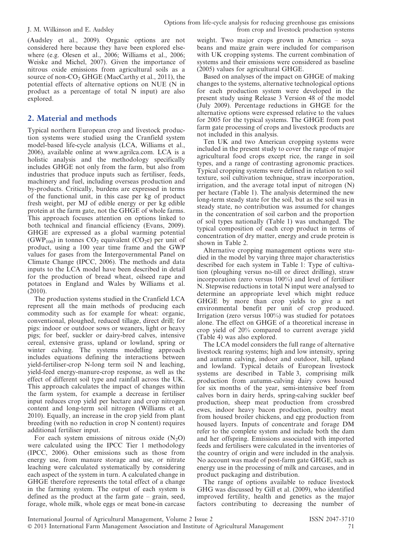(Audsley et al., 2009). Organic options are not considered here because they have been explored elsewhere (e.g. Olesen et al., 2006; Williams et al., 2006; Weiske and Michel, 2007). Given the importance of nitrous oxide emissions from agricultural soils as a source of non-CO<sub>2</sub> GHGE (MacCarthy et al., 2011), the potential effects of alternative options on NUE (N in product as a percentage of total N input) are also explored.

### 2. Material and methods

Typical northern European crop and livestock production systems were studied using the Cranfield system model-based life-cycle analysis (LCA, Williams et al., 2006), available online at www.agrilca.com. LCA is a holistic analysis and the methodology specifically includes GHGE not only from the farm, but also from industries that produce inputs such as fertiliser, feeds, machinery and fuel, including overseas production and by-products. Critically, burdens are expressed in terms of the functional unit, in this case per kg of product fresh weight, per MJ of edible energy or per kg edible protein at the farm gate, not the GHGE of whole farms. This approach focuses attention on options linked to both technical and financial efficiency (Evans, 2009). GHGE are expressed as a global warming potential (GWP<sub>100</sub>) in tonnes  $CO_2$  equivalent (CO<sub>2</sub>e) per unit of product, using a 100 year time frame and the GWP values for gases from the Intergovernmental Panel on Climate Change (IPCC, 2006). The methods and data inputs to the LCA model have been described in detail for the production of bread wheat, oilseed rape and potatoes in England and Wales by Williams et al. (2010).

The production systems studied in the Cranfield LCA represent all the main methods of producing each commodity such as for example for wheat: organic, conventional, ploughed, reduced tillage, direct drill; for pigs: indoor or outdoor sows or weaners, light or heavy pigs; for beef, suckler or dairy-bred calves, intensive cereal, extensive grass, upland or lowland, spring or winter calving. The systems modelling approach includes equations defining the interactions between yield-fertiliser-crop N-long term soil N and leaching, yield-feed energy-manure-crop response, as well as the effect of different soil type and rainfall across the UK. This approach calculates the impact of changes within the farm system, for example a decrease in fertiliser input reduces crop yield per hectare and crop nitrogen content and long-term soil nitrogen (Williams et al, 2010). Equally, an increase in the crop yield from plant breeding (with no reduction in crop N content) requires additional fertiliser input.

For each system emissions of nitrous oxide  $(N_2O)$ were calculated using the IPCC Tier 1 methodology (IPCC, 2006). Other emissions such as those from energy use, from manure storage and use, or nitrate leaching were calculated systematically by considering each aspect of the system in turn. A calculated change in GHGE therefore represents the total effect of a change in the farming system. The output of each system is defined as the product at the farm gate – grain, seed, forage, whole milk, whole eggs or meat bone-in carcase

weight. Two major crops grown in America – soya beans and maize grain were included for comparison with UK cropping systems. The current combination of systems and their emissions were considered as baseline (2005) values for agricultural GHGE.

Based on analyses of the impact on GHGE of making changes to the systems, alternative technological options for each production system were developed in the present study using Release 3 Version 48 of the model (July 2009). Percentage reductions in GHGE for the alternative options were expressed relative to the values for 2005 for the typical systems. The GHGE from post farm gate processing of crops and livestock products are not included in this analysis.

Ten UK and two American cropping systems were included in the present study to cover the range of major agricultural food crops except rice, the range in soil types, and a range of contrasting agronomic practices. Typical cropping systems were defined in relation to soil texture, soil cultivation technique, straw incorporation, irrigation, and the average total input of nitrogen (N) per hectare (Table 1). The analysis determined the new long-term steady state for the soil, but as the soil was in steady state, no contribution was assumed for changes in the concentration of soil carbon and the proportion of soil types nationally (Table 1) was unchanged. The typical composition of each crop product in terms of concentration of dry matter, energy and crude protein is shown in Table 2.

Alternative cropping management options were studied in the model by varying three major characteristics described for each system in Table 1: Type of cultivation (ploughing versus no-till or direct drilling), straw incorporation (zero versus 100%) and level of fertiliser N. Stepwise reductions in total N input were analysed to determine an appropriate level which might reduce GHGE by more than crop yields to give a net environmental benefit per unit of crop produced. Irrigation (zero versus 100%) was studied for potatoes alone. The effect on GHGE of a theoretical increase in crop yield of 20% compared to current average yield (Table 4) was also explored.

The LCA model considers the full range of alternative livestock rearing systems; high and low intensity, spring and autumn calving, indoor and outdoor, hill, upland and lowland. Typical details of European livestock systems are described in Table 3, comprising milk production from autumn-calving dairy cows housed for six months of the year, semi-intensive beef from calves born in dairy herds, spring-calving suckler beef production, sheep meat production from crossbred ewes, indoor heavy bacon production, poultry meat from housed broiler chickens, and egg production from housed layers. Inputs of concentrate and forage DM refer to the complete system and include both the dam and her offspring. Emissions associated with imported feeds and fertilisers were calculated in the inventories of the country of origin and were included in the analysis. No account was made of post-farm gate GHGE, such as energy use in the processing of milk and carcases, and in product packaging and distribution.

The range of options available to reduce livestock GHG was discussed by Gill et al. (2009), who identified improved fertility, health and genetics as the major factors contributing to decreasing the number of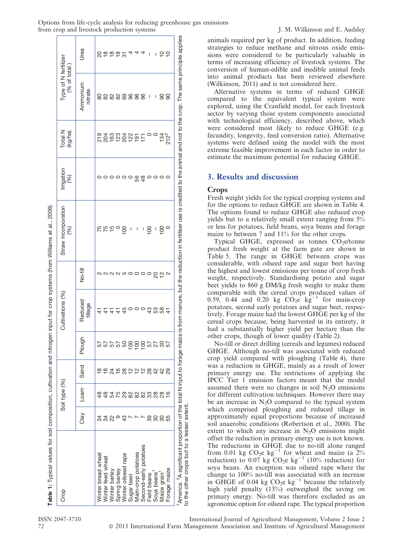| Crop                                                                                                                              |      | Soil type (%) |                |             | Cultivations (%)   |                     | Straw incorporation<br>$\mathcal{S}$                                                                                          | Irrigation<br>(%)                                                             | Total N<br>(kg/ha) | Type of N fertilizer<br>(% of total) |                         |
|-----------------------------------------------------------------------------------------------------------------------------------|------|---------------|----------------|-------------|--------------------|---------------------|-------------------------------------------------------------------------------------------------------------------------------|-------------------------------------------------------------------------------|--------------------|--------------------------------------|-------------------------|
|                                                                                                                                   | Clay | Loam          | Sand           | Plough      | Reduced<br>tillage | No-till             |                                                                                                                               |                                                                               |                    | Ammonium<br>nitrate                  | Urea                    |
| Winter bread wheat                                                                                                                | 34   | 48            |                | 55          |                    |                     |                                                                                                                               |                                                                               |                    |                                      |                         |
| Winter feed wheat                                                                                                                 | 34   |               |                |             |                    | <b>Q Q Q Q S</b>    |                                                                                                                               |                                                                               | 23823255           | 888888888                            |                         |
| Winter barley                                                                                                                     |      |               |                |             |                    |                     |                                                                                                                               |                                                                               |                    |                                      | $\frac{\infty}{\infty}$ |
| Spring barley                                                                                                                     |      | 75            |                | ន<br>ភូមិ   |                    |                     |                                                                                                                               |                                                                               |                    |                                      | $\frac{\infty}{1}$      |
| Winter oilseed rape                                                                                                               |      | 29            | $\frac{8}{2}$  |             | 45                 |                     | ဥ                                                                                                                             |                                                                               |                    |                                      | 75                      |
| Sugar beet                                                                                                                        |      | 82            | $\alpha$       | 8           |                    |                     |                                                                                                                               | $\circ$ $\overset{\circ}{\phantom{\circ}}$ $\overset{\circ}{\phantom{\circ}}$ |                    |                                      |                         |
| Main-crop potatoes                                                                                                                |      | 82            | 으              |             | $\circ$            |                     | ı                                                                                                                             |                                                                               |                    |                                      | 4                       |
| Second-early potatoes                                                                                                             |      | 82            | 으              | $rac{8}{5}$ | $\circ$            |                     |                                                                                                                               |                                                                               |                    |                                      | 4                       |
| Field beans                                                                                                                       | 89   |               | $^{28}$        | <b>25</b>   |                    |                     | $\frac{8}{1}$                                                                                                                 |                                                                               |                    | I                                    | I                       |
| Soya beans                                                                                                                        |      |               |                |             |                    |                     |                                                                                                                               |                                                                               |                    | I                                    | I                       |
| Maize grain                                                                                                                       | 80   | 28            | $\overline{4}$ | 80          | 7887               | <sup>⊃</sup> នួ ¤ ∾ | 90                                                                                                                            |                                                                               |                    | န္က န္က                              | ₽                       |
| Forage maize                                                                                                                      | 55   | ဖ             | 29             | 57          |                    |                     |                                                                                                                               |                                                                               | $134$<br>$212$     |                                      | $\overline{C}$          |
| America. <sup>2</sup> A significant proportion of the total N input to forage maize<br>to the other crops but to a lesser extent. |      |               |                |             |                    |                     | is from manure, but the reduction in fertiliser use is credited to the animal and not to the crop. The same principle applies |                                                                               |                    |                                      |                         |

Options from life-cycle analysis for reducing greenhouse gas emissions

animals required per kg of product. In addition, feeding strategies to reduce methane and nitrous oxide emissions were considered to be particularly valuable in terms of increasing efficiency of livestock systems. The conversion of human-edible and inedible animal feeds into animal products has been reviewed elsewhere (Wilkinson,  $2011$ ) and is not considered here.

Alternative systems in terms of reduced GHGE compared to the equivalent typical system were explored, using the Cranfield model, for each livestock sector by varying those system components associated with technological efficiency, described above, which were considered most likely to reduce GHGE (e.g. fecundity, longevity, feed conversion ratio). Alternative systems were defined using the model with the most extreme feasible improvement in each factor in order to estimate the maximum potential for reducing GHGE.

### 3. Results and discussion

### **Crops**

Fresh weight yields for the typical cropping systems and for the options to reduce GHGE are shown in Table 4. The options found to reduce GHGE also reduced crop yields but to a relatively small extent ranging from 5% or less for potatoes, field beans, soya beans and forage maize to between 7 and 11% for the other crops.

Typical GHGE, expressed as tonnes  $CO<sub>2</sub>e/tonne$ product fresh weight at the farm gate are shown in Table 5. The range in GHGE between crops was considerable, with oilseed rape and sugar beet having the highest and lowest emissions per tonne of crop fresh weight, respectively. Standardising potato and sugar beet yields to 860 g DM/kg fresh weight to make them comparable with the cereal crops produced values of 0.59, 0.44 and 0.20 kg  $CO<sub>2</sub>e kg<sup>-1</sup>$  for main-crop potatoes, second early potatoes and sugar beet, respectively. Forage maize had the lowest GHGE per kg of the cereal crops because, being harvested in its entirety, it had a substantially higher yield per hectare than the other crops, though of lower quality (Table 2).

No-till or direct drilling (cereals and legumes) reduced GHGE. Although no-till was associated with reduced crop yield compared with ploughing (Table 4), there was a reduction in GHGE, mainly as a result of lower primary energy use. The restrictions of applying the IPCC Tier 1 emission factors meant that the model assumed there were no changes in soil  $N_2O$  emissions for different cultivation techniques. However there may be an increase in  $N<sub>2</sub>O$  compared to the typical system which comprised ploughing and reduced tillage in approximately equal proportions because of increased soil anaerobic conditions (Robertson et al., 2000). The extent to which any increase in  $N_2O$  emissions might offset the reduction in primary energy use is not known. The reductions in GHGE due to no-till alone ranged from 0.01 kg  $CO<sub>2</sub>e kg<sup>-1</sup>$  for wheat and maize (a  $2\%$ reduction) to  $0.07 \text{ kg CO}_2$ e kg<sup>-1</sup> (10% reduction) for soya beans. An exception was oilseed rape where the change to 100% no-till was associated with an increase in GHGE of 0.04 kg  $CO<sub>2</sub>e kg<sup>-1</sup>$  because the relatively high yield penalty (13%) outweighed the saving on primary energy. No-till was therefore excluded as an agronomic option for oilseed rape. The typical proportion

ISSN 2047-3710 International Journal of Agricultural Management, Volume 2 Issue 2 72 ' 2013 International Farm Management Association and Institute of Agricultural Management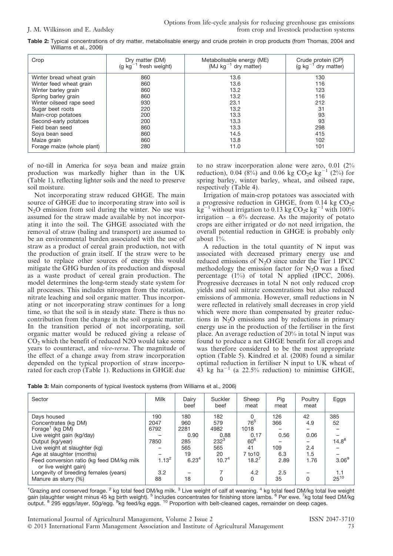| Table 2: Typical concentrations of dry matter, metabolisable energy and crude protein in crop products (from Thomas, 2004 and |  |  |  |  |
|-------------------------------------------------------------------------------------------------------------------------------|--|--|--|--|
| Williams et al., 2006)                                                                                                        |  |  |  |  |

| Crop                       | Dry matter (DM)<br>(g $kg^{-1}$ fresh weight) | Metabolisable energy (ME)<br>(MJ $kg^{-1}$ dry matter) | Crude protein (CP)<br>$(g \text{ kg}^{-1}$ dry matter) |
|----------------------------|-----------------------------------------------|--------------------------------------------------------|--------------------------------------------------------|
| Winter bread wheat grain   | 860                                           | 13.6                                                   | 130                                                    |
| Winter feed wheat grain    | 860                                           | 13.6                                                   | 116                                                    |
| Winter barley grain        | 860                                           | 13.2                                                   | 123                                                    |
| Spring barley grain        | 860                                           | 13.2                                                   | 116                                                    |
| Winter oilseed rape seed   | 930                                           | 23.1                                                   | 212                                                    |
| Sugar beet roots           | 220                                           | 13.2                                                   | 31                                                     |
| Main-crop potatoes         | 200                                           | 13.3                                                   | 93                                                     |
| Second-early potatoes      | 200                                           | 13.3                                                   | 93                                                     |
| Field bean seed            | 860                                           | 13.3                                                   | 298                                                    |
| Soya bean seed             | 860                                           | 14.5                                                   | 415                                                    |
| Maize grain                | 860                                           | 13.8                                                   | 102                                                    |
| Forage maize (whole plant) | 280                                           | 11.0                                                   | 101                                                    |

of no-till in America for soya bean and maize grain production was markedly higher than in the UK (Table 1), reflecting lighter soils and the need to preserve soil moisture.

Not incorporating straw reduced GHGE. The main source of GHGE due to incorporating straw into soil is  $N_2O$  emission from soil during the winter. No use was assumed for the straw made available by not incorporating it into the soil. The GHGE associated with the removal of straw (baling and transport) are assumed to be an environmental burden associated with the use of straw as a product of cereal grain production, not with the production of grain itself. If the straw were to be used to replace other sources of energy this would mitigate the GHG burden of its production and disposal as a waste product of cereal grain production. The model determines the long-term steady state system for all processes. This includes nitrogen from the rotation, nitrate leaching and soil organic matter. Thus incorporating or not incorporating straw continues for a long time, so that the soil is in steady state. There is thus no contribution from the change in the soil organic matter. In the transition period of not incorporating, soil organic matter would be reduced giving a release of  $CO<sub>2</sub>$  which the benefit of reduced N2O would take some years to counteract, and vice-versa. The magnitude of the effect of a change away from straw incorporation depended on the typical proportion of straw incorporated for each crop (Table 1). Reductions in GHGE due

to no straw incorporation alone were zero, 0.01 (2% reduction), 0.04 ( $8\frac{0}{10}$ ) and 0.06 kg CO<sub>2</sub>e kg<sup>-1</sup> (2%) for spring barley, winter barley, wheat, and oilseed rape, respectively (Table 4).

Irrigation of main-crop potatoes was associated with a progressive reduction in GHGE, from 0.14 kg  $CO<sub>2</sub>e$ kg<sup>-1</sup> without irrigation to 0.13 kg CO<sub>2</sub>e kg<sup>-1</sup> with 100% irrigation – a  $6\%$  decrease. As the majority of potato crops are either irrigated or do not need irrigation, the overall potential reduction in GHGE is probably only about 1%.

A reduction in the total quantity of N input was associated with decreased primary energy use and reduced emissions of  $N_2O$  since under the Tier 1 IPCC methodology the emission factor for  $N_2O$  was a fixed percentage (1%) of total N applied (IPCC, 2006). Progressive decreases in total N not only reduced crop yields and soil nitrate concentrations but also reduced emissions of ammonia. However, small reductions in N were reflected in relatively small decreases in crop yield which were more than compensated by greater reductions in  $N_2O$  emissions and by reductions in primary energy use in the production of the fertiliser in the first place. An average reduction of 20% in total N input was found to produce a net GHGE benefit for all crops and was therefore considered to be the most appropriate option (Table 5). Kindred et al. (2008) found a similar optimal reduction in fertiliser N input to UK wheat of  $4\overline{3}$  kg ha<sup>-1</sup> (a 22.5% reduction) to minimise GHGE,

| Table 3: Main components of typical livestock systems (from Williams et al., 2006) |  |  |  |  |
|------------------------------------------------------------------------------------|--|--|--|--|

| Sector                                                             | Milk              | Dairy<br>beef     | Suckler<br>beef   | Sheep<br>meat | Pig<br>meat | Poultry<br>meat | Eggs              |
|--------------------------------------------------------------------|-------------------|-------------------|-------------------|---------------|-------------|-----------------|-------------------|
| Days housed                                                        | 190               | 180               | 182               | $\Omega$      | 126         | 42              | 385               |
| Concentrates (kg DM)                                               | 2047              | 960               | 579               | $76^{5}$      | 366         | 4.9             | 52                |
| Forage <sup>1</sup> (kg DM)                                        | 6792              | 2281              | 4982              | 1018          |             |                 |                   |
| Live weight gain (kg/day)                                          |                   | 0.90              | 0.88              | 0.17          | 0.56        | 0.06            |                   |
| Output (kg/year)                                                   | 7850              | 285               | $232^3$           | $60^6$        |             |                 | $14.8^{8}$        |
| Live weight at slaughter (kg)                                      |                   | 565               | 565               | 41            | 109         | 2.4             |                   |
| Age at slaughter (months)                                          |                   | 19                | 20                | 7 to 10       | 6.3         | 1.5             |                   |
| Feed conversion ratio (kg feed DM/kg milk)<br>or live weight gain) | 1.13 <sup>2</sup> | 6.23 <sup>4</sup> | 10.7 <sup>4</sup> | $18.2^7$      | 2.89        | 1.76            | 3.06 <sup>9</sup> |
| Longevity of breeding females (years)                              | 3.2               |                   |                   | 4.2           | 2.5         |                 | 1.1               |
| Manure as slurry (%)                                               | 88                | 18                | $\Omega$          | 0             | 35          | O               | $25^{10}$         |

<sup>1</sup>Grazing and conserved forage. <sup>2</sup> kg total feed DM/kg milk. <sup>3</sup> Live weight of calf at weaning. <sup>4</sup> kg total feed DM/kg total live weight gain (slaughter weight minus 45 kg birth weight). <sup>5</sup> Includes concentrates for finishing store lambs. <sup>6</sup> Per ewe. <sup>7</sup>kg total feed DM/kg<br>output. <sup>8</sup> 295 eggs/layer, 50g/egg. <sup>9</sup>kg feed/kg eggs. <sup>10</sup> Proportion with belt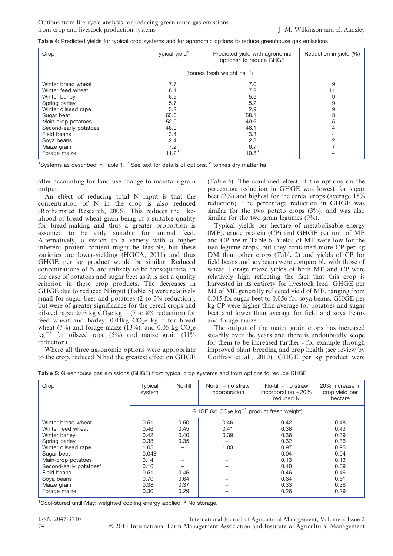Options from life-cycle analysis for reducing greenhouse gas emissions from crop and livestock production systems J. M. Wilkinson and E. Audsley

Table 4: Predicted yields for typical crop systems and for agronomic options to reduce greenhouse gas emissions

| Crop                  | Typical yield <sup>1</sup> | Predicted yield with agronomic<br>options <sup>2</sup> to reduce GHGE | Reduction in yield (%) |
|-----------------------|----------------------------|-----------------------------------------------------------------------|------------------------|
|                       |                            | (tonnes fresh weight $ha^{-1}$ )                                      |                        |
| Winter bread wheat    | 7.7                        | 7.0                                                                   | 9                      |
| Winter feed wheat     | 8.1                        | 7.2                                                                   |                        |
| Winter barley         | 6.5                        | 5.9                                                                   | 9                      |
| Spring barley         | 5.7                        | 5.2                                                                   | 9                      |
| Winter oilseed rape   | 3.2                        | 2.9                                                                   | 9                      |
| Sugar beet            | 63.0                       | 58.1                                                                  | 8                      |
| Main-crop potatoes    | 52.0                       | 49.6                                                                  | 5                      |
| Second-early potatoes | 48.0                       | 46.1                                                                  |                        |
| Field beans           | 3.4                        | 3.3                                                                   |                        |
| Soya beans            | 2.4                        | 2.3                                                                   |                        |
| Maize grain           | 7.2                        | 6.7                                                                   |                        |
| Forage maize          | $11.2^3$                   | $10.8^3$                                                              | 4                      |

<sup>1</sup>Systems as described in Table 1. <sup>2</sup> See text for details of options. <sup>3</sup> tonnes dry matter ha<sup>-1</sup>

after accounting for land-use change to maintain grain output.

An effect of reducing total N input is that the concentration of N in the crop is also reduced (Rothamsted Research, 2006). This reduces the likelihood of bread wheat grain being of a suitable quality for bread-making and thus a greater proportion is assumed to be only suitable for animal feed. Alternatively, a switch to a variety with a higher inherent protein content might be feasible, but these varieties are lower-yielding (HGCA, 2011) and thus GHGE per kg product would be similar. Reduced concentrations of N are unlikely to be consequential in the case of potatoes and sugar beet as it is not a quality criterion in these crop products. The decreases in GHGE due to reduced  $\tilde{N}$  input (Table 5) were relatively small for sugar beet and potatoes (2 to 3% reduction), but were of greater significance for the cereal crops and oilseed rape: 0.03 kg  $CO<sub>2</sub>e$  kg<sup>-1</sup> (7 to 8% reduction) for feed wheat and barley,  $0.04kg$  CO<sub>2</sub>e kg<sup>-1</sup> for bread wheat (7%) and forage maize (13%), and 0.05 kg  $CO<sub>2</sub>e$  $kg^{-1}$  for oilseed rape (5%) and maize grain (11%) reduction).

Where all three agronomic options were appropriate to the crop, reduced N had the greatest effect on GHGE (Table 5). The combined effect of the options on the percentage reduction in GHGE was lowest for sugar beet (2%) and highest for the cereal crops (average 15% reduction). The percentage reduction in GHGE was similar for the two potato crops  $(3\%)$ , and was also similar for the two grain legumes  $(9\%)$ .

Typical yields per hectare of metabolisable energy (ME), crude protein (CP) and GHGE per unit of ME and CP are in Table 6. Yields of ME were low for the two legume crops, but they contained more CP per kg DM than other crops (Table 2) and yields of CP for field beans and soybeans were comparable with those of wheat. Forage maize yields of both ME and CP were relatively high reflecting the fact that this crop is harvested in its entirety for livestock feed. GHGE per MJ of ME generally reflected yield of ME, ranging from 0.015 for sugar beet to 0.056 for soya beans. GHGE per kg CP were higher than average for potatoes and sugar beet and lower than average for field and soya beans and forage maize.

The output of the major grain crops has increased steadily over the years and there is undoubtedly scope for them to be increased further - for example through improved plant breeding and crop health (see review by Godfray et al., 2010). GHGE per kg product were

| Crop                               | Typical<br>system | No-till | $No$ -till + no straw<br>incorporation                 | $No$ -till + no straw<br>incorporation $+20%$<br>reduced N | 20% increase in<br>crop yield per<br>hectare |
|------------------------------------|-------------------|---------|--------------------------------------------------------|------------------------------------------------------------|----------------------------------------------|
|                                    |                   |         | GHGE (kg $CO2e$ kg <sup>-1</sup> product fresh weight) |                                                            |                                              |
| Winter bread wheat                 | 0.51              | 0.50    | 0.46                                                   | 0.42                                                       | 0.48                                         |
| Winter feed wheat                  | 0.46              | 0.45    | 0.41                                                   | 0.38                                                       | 0.43                                         |
| Winter barley                      | 0.42              | 0.40    | 0.39                                                   | 0.36                                                       | 0.39                                         |
| Spring barley                      | 0.38              | 0.35    |                                                        | 0.32                                                       | 0.36                                         |
| Winter oilseed rape                | 1.05              |         | 1.03                                                   | 0.97                                                       | 0.95                                         |
| Sugar beet                         | 0.043             |         |                                                        | 0.04                                                       | 0.04                                         |
| Main-crop potatoes <sup>1</sup>    | 0.14              |         |                                                        | 0.13                                                       | 0.13                                         |
| Second-early potatoes <sup>2</sup> | 0.10              |         |                                                        | 0.10                                                       | 0.09                                         |
| Field beans                        | 0.51              | 0.46    |                                                        | 0.46                                                       | 0.46                                         |
| Soya beans                         | 0.70              | 0.64    |                                                        | 0.64                                                       | 0.61                                         |
| Maize grain                        | 0.38              | 0.37    |                                                        | 0.33                                                       | 0.36                                         |
| Forage maize                       | 0.30              | 0.29    |                                                        | 0.26                                                       | 0.29                                         |

Table 5: Greenhouse gas emissions (GHGE) from typical crop systems and from options to reduce GHGE

 $1$ Cool-stored until May: weighted cooling energy applied.  $2$  No storage.

ISSN 2047-3710 International Journal of Agricultural Management, Volume 2 Issue 2 74 ' 2013 International Farm Management Association and Institute of Agricultural Management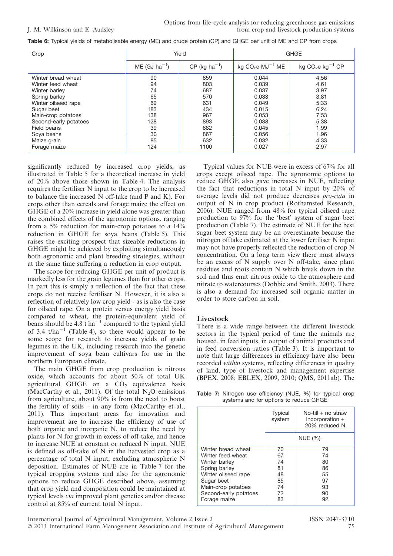| Crop                                                                                                                                                                                                                      |                                                                          | Yield                                                                             |                                                                                                          | <b>GHGE</b>                                                                                  |
|---------------------------------------------------------------------------------------------------------------------------------------------------------------------------------------------------------------------------|--------------------------------------------------------------------------|-----------------------------------------------------------------------------------|----------------------------------------------------------------------------------------------------------|----------------------------------------------------------------------------------------------|
|                                                                                                                                                                                                                           | $ME$ (GJ ha <sup>-1</sup> )                                              | $CP$ (kg ha <sup>-1</sup> )                                                       | kg $CO2e MJ-1 ME$                                                                                        | kg CO <sub>2</sub> e kg <sup><math>-1</math></sup> CP                                        |
| Winter bread wheat<br>Winter feed wheat<br>Winter barley<br>Spring barley<br>Winter oilseed rape<br>Sugar beet<br>Main-crop potatoes<br>Second-early potatoes<br>Field beans<br>Soya beans<br>Maize grain<br>Forage maize | 90<br>94<br>74<br>65<br>69<br>183<br>138<br>128<br>39<br>30<br>85<br>124 | 859<br>803<br>687<br>570<br>631<br>434<br>967<br>893<br>882<br>867<br>632<br>1100 | 0.044<br>0.039<br>0.037<br>0.033<br>0.049<br>0.015<br>0.053<br>0.038<br>0.045<br>0.056<br>0.032<br>0.027 | 4.56<br>4.61<br>3.97<br>3.81<br>5.33<br>6.24<br>7.53<br>5.38<br>1.99<br>1.96<br>4.33<br>2.97 |

Table 6: Typical yields of metabolisable energy (ME) and crude protein (CP) and GHGE per unit of ME and CP from crops

significantly reduced by increased crop yields, as illustrated in Table 5 for a theoretical increase in yield of 20% above those shown in Table 4. The analysis requires the fertiliser N input to the crop to be increased to balance the increased N off-take (and P and K). For crops other than cereals and forage maize the effect on GHGE of a 20% increase in yield alone was greater than the combined effects of the agronomic options, ranging from a 5% reduction for main-crop potatoes to a 14% reduction in GHGE for soya beans (Table 5). This raises the exciting prospect that sizeable reductions in GHGE might be achieved by exploiting simultaneously both agronomic and plant breeding strategies, without at the same time suffering a reduction in crop output.

The scope for reducing GHGE per unit of product is markedly less for the grain legumes than for other crops. In part this is simply a reflection of the fact that these crops do not receive fertiliser N. However, it is also a reflection of relatively low crop yield - as is also the case for oilseed rape. On a protein versus energy yield basis compared to wheat, the protein-equivalent yield of beans should be  $4.8 \text{ t} \text{ ha}^{-1}$  compared to the typical yield of 3.4  $t/ha^{-1}$  (Table 4), so there would appear to be some scope for research to increase yields of grain legumes in the UK, including research into the genetic improvement of soya bean cultivars for use in the northern European climate.

The main GHGE from crop production is nitrous oxide, which accounts for about 50% of total UK agricultural GHGE on a  $CO<sub>2</sub>$  equivalence basis (MacCarthy et al., 2011). Of the total  $N_2O$  emissions from agriculture, about 90% is from the need to boost the fertility of soils – in any form (MacCarthy et al., 2011). Thus important areas for innovation and improvement are to increase the efficiency of use of both organic and inorganic N, to reduce the need by plants for N for growth in excess of off-take, and hence to increase NUE at constant or reduced N input. NUE is defined as off-take of N in the harvested crop as a percentage of total N input, excluding atmospheric N deposition. Estimates of NUE are in Table 7 for the typical cropping systems and also for the agronomic options to reduce GHGE described above, assuming that crop yield and composition could be maintained at typical levels via improved plant genetics and/or disease control at 85% of current total N input.

Typical values for NUE were in excess of 67% for all crops except oilseed rape. The agronomic options to reduce GHGE also gave increases in NUE, reflecting the fact that reductions in total N input by 20% of average levels did not produce decreases pro-rata in output of N in crop product (Rothamsted Research, 2006). NUE ranged from 48% for typical oilseed rape production to 97% for the 'best' system of sugar beet production (Table 7). The estimate of NUE for the best sugar beet system may be an overestimate because the nitrogen offtake estimated at the lower fertiliser N input may not have properly reflected the reduction of crop N concentration. On a long term view there must always be an excess of N supply over N off-take, since plant residues and roots contain N which break down in the soil and thus emit nitrous oxide to the atmosphere and nitrate to watercourses (Dobbie and Smith, 2003). There is also a demand for increased soil organic matter in order to store carbon in soil.

### **Livestock**

There is a wide range between the different livestock sectors in the typical period of time the animals are housed, in feed inputs, in output of animal products and in feed conversion ratios (Table 3). It is important to note that large differences in efficiency have also been recorded within systems, reflecting differences in quality of land, type of livestock and management expertise (BPEX, 2008; EBLEX, 2009, 2010; QMS, 2011ab). The

Table 7: Nitrogen use efficiency (NUE, %) for typical crop systems and for options to reduce GHGE

|                                                                                                                                                                               | Typical<br>system                                  | $No$ -till + no straw<br>incorporation $+$<br>20% reduced N |
|-------------------------------------------------------------------------------------------------------------------------------------------------------------------------------|----------------------------------------------------|-------------------------------------------------------------|
|                                                                                                                                                                               |                                                    | <b>NUE (%)</b>                                              |
| Winter bread wheat<br>Winter feed wheat<br>Winter barley<br>Spring barley<br>Winter oilseed rape<br>Sugar beet<br>Main-crop potatoes<br>Second-early potatoes<br>Forage maize | 70<br>67<br>74<br>81<br>48<br>85<br>74<br>72<br>83 | 79<br>74<br>80<br>86<br>55<br>97<br>93<br>90<br>92          |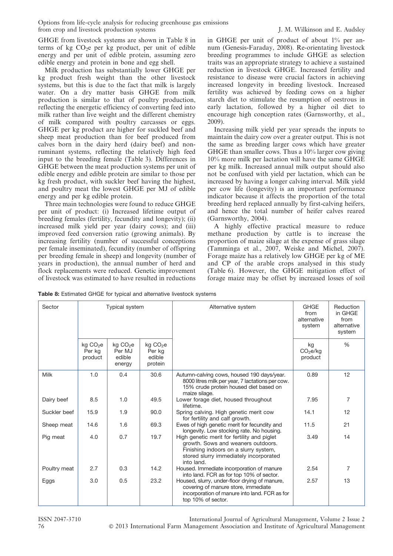GHGE from livestock systems are shown in Table 8 in terms of kg  $CO<sub>2</sub>e$  per kg product, per unit of edible energy and per unit of edible protein, assuming zero edible energy and protein in bone and egg shell.

Milk production has substantially lower GHGE per kg product fresh weight than the other livestock systems, but this is due to the fact that milk is largely water. On a dry matter basis GHGE from milk production is similar to that of poultry production, reflecting the energetic efficiency of converting feed into milk rather than live weight and the different chemistry of milk compared with poultry carcasses or eggs. GHGE per kg product are higher for suckled beef and sheep meat production than for beef produced from calves born in the dairy herd (dairy beef) and nonruminant systems, reflecting the relatively high feed input to the breeding female (Table 3). Differences in GHGE between the meat production systems per unit of edible energy and edible protein are similar to those per kg fresh product, with suckler beef having the highest, and poultry meat the lowest GHGE per MJ of edible energy and per kg edible protein.

Three main technologies were found to reduce GHGE per unit of product: (i) Increased lifetime output of breeding females (fertility, fecundity and longevity); (ii) increased milk yield per year (dairy cows); and (iii) improved feed conversion ratio (growing animals). By increasing fertility (number of successful conceptions per female inseminated), fecundity (number of offspring per breeding female in sheep) and longevity (number of years in production), the annual number of herd and flock replacements were reduced. Genetic improvement of livestock was estimated to have resulted in reductions

in GHGE per unit of product of about 1% per annum (Genesis-Faraday, 2008). Re-orientating livestock breeding programmes to include GHGE as selection traits was an appropriate strategy to achieve a sustained reduction in livestock GHGE. Increased fertility and resistance to disease were crucial factors in achieving increased longevity in breeding livestock. Increased fertility was achieved by feeding cows on a higher starch diet to stimulate the resumption of oestrous in early lactation, followed by a higher oil diet to encourage high conception rates (Garnsworthy, et al., 2009).

Increasing milk yield per year spreads the inputs to maintain the dairy cow over a greater output. This is not the same as breeding larger cows which have greater GHGE than smaller cows. Thus a 10% larger cow giving 10% more milk per lactation will have the same GHGE per kg milk. Increased annual milk output should also not be confused with yield per lactation, which can be increased by having a longer calving interval. Milk yield per cow life (longevity) is an important performance indicator because it affects the proportion of the total breeding herd replaced annually by first-calving heifers, and hence the total number of heifer calves reared (Garnsworthy, 2004).

A highly effective practical measure to reduce methane production by cattle is to increase the proportion of maize silage at the expense of grass silage (Tamminga et al., 2007, Weiske and Michel, 2007). Forage maize has a relatively low GHGE per kg of ME and CP of the arable crops analysed in this study (Table 6). However, the GHGE mitigation effect of forage maize may be offset by increased losses of soil

Table 8: Estimated GHGE for typical and alternative livestock systems

| Sector       |                                | <b>Typical system</b>                              |                                                     | Alternative system                                                                                                                                                                 | <b>GHGE</b><br>from<br>alternative<br>system | Reduction<br>in GHGE<br>from<br>alternative<br>system |
|--------------|--------------------------------|----------------------------------------------------|-----------------------------------------------------|------------------------------------------------------------------------------------------------------------------------------------------------------------------------------------|----------------------------------------------|-------------------------------------------------------|
|              | kg $CO2e$<br>Per kg<br>product | kg CO <sub>2</sub> e<br>Per MJ<br>edible<br>energy | kg CO <sub>2</sub> e<br>Per kg<br>edible<br>protein |                                                                                                                                                                                    | kg<br>CO <sub>2</sub> e/kg<br>product        | $\frac{0}{0}$                                         |
| Milk         | 1.0                            | 0.4                                                | 30.6                                                | Autumn-calving cows, housed 190 days/year.<br>8000 litres milk per year, 7 lactations per cow.<br>15% crude protein housed diet based on<br>maize silage.                          | 0.89                                         | 12                                                    |
| Dairy beef   | 8.5                            | 1.0                                                | 49.5                                                | Lower forage diet, housed throughout<br>lifetime.                                                                                                                                  | 7.95                                         | 7                                                     |
| Suckler beef | 15.9                           | 1.9                                                | 90.0                                                | Spring calving. High genetic merit cow<br>for fertility and calf growth.                                                                                                           | 14.1                                         | 12                                                    |
| Sheep meat   | 14.6                           | 1.6                                                | 69.3                                                | Ewes of high genetic merit for fecundity and<br>longevity. Low stocking rate. No housing.                                                                                          | 11.5                                         | 21                                                    |
| Pig meat     | 4.0                            | 0.7                                                | 19.7                                                | High genetic merit for fertility and piglet<br>growth. Sows and weaners outdoors.<br>Finishing indoors on a slurry system,<br>stored slurry immediately incorporated<br>into land. | 3.49                                         | 14                                                    |
| Poultry meat | 2.7                            | 0.3                                                | 14.2                                                | Housed. Immediate incorporation of manure<br>into land. FCR as for top 10% of sector.                                                                                              | 2.54                                         | 7                                                     |
| Eggs         | 3.0                            | 0.5                                                | 23.2                                                | Housed, slurry, under-floor drying of manure,<br>covering of manure store, immediate<br>incorporation of manure into land. FCR as for<br>top 10% of sector.                        | 2.57                                         | 13                                                    |

ISSN 2047-3710 International Journal of Agricultural Management, Volume 2 Issue 2 76 ' 2013 International Farm Management Association and Institute of Agricultural Management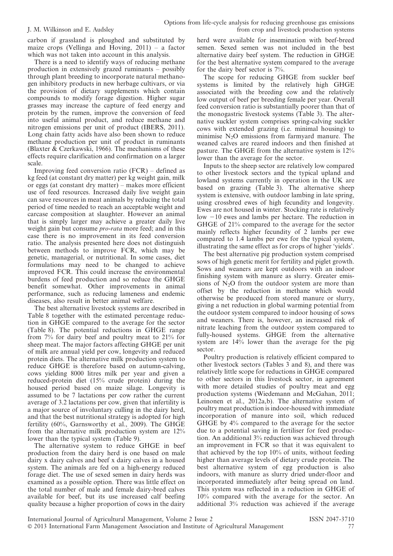carbon if grassland is ploughed and substituted by maize crops (Vellinga and Hoving, 2011) – a factor which was not taken into account in this analysis.

There is a need to identify ways of reducing methane production in extensively grazed ruminants – possibly through plant breeding to incorporate natural methanogen inhibitory products in new herbage cultivars, or via the provision of dietary supplements which contain compounds to modify forage digestion. Higher sugar grasses may increase the capture of feed energy and protein by the rumen, improve the conversion of feed into useful animal product, and reduce methane and nitrogen emissions per unit of product (IBERS, 2011). Long chain fatty acids have also been shown to reduce methane production per unit of product in ruminants (Blaxter  $\&$  Czerkawski, 1966). The mechanisms of these effects require clarification and confirmation on a larger scale.

Improving feed conversion ratio (FCR) – defined as kg feed (at constant dry matter) per kg weight gain, milk or eggs (at constant dry matter) – makes more efficient use of feed resources. Increased daily live weight gain can save resources in meat animals by reducing the total period of time needed to reach an acceptable weight and carcase composition at slaughter. However an animal that is simply larger may achieve a greater daily live weight gain but consume *pro-rata* more feed; and in this case there is no improvement in its feed conversion ratio. The analysis presented here does not distinguish between methods to improve FCR, which may be genetic, managerial, or nutritional. In some cases, diet formulations may need to be changed to achieve improved FCR. This could increase the environmental burdens of feed production and so reduce the GHGE benefit somewhat. Other improvements in animal performance, such as reducing lameness and endemic diseases, also result in better animal welfare.

The best alternative livestock systems are described in Table 8 together with the estimated percentage reduction in GHGE compared to the average for the sector (Table 8). The potential reductions in GHGE range from 7% for dairy beef and poultry meat to 21% for sheep meat. The major factors affecting GHGE per unit of milk are annual yield per cow, longevity and reduced protein diets. The alternative milk production system to reduce GHGE is therefore based on autumn-calving, cows yielding 8000 litres milk per year and given a reduced-protein diet (15% crude protein) during the housed period based on maize silage. Longevity is assumed to be 7 lactations per cow rather the current average of 3.2 lactations per cow, given that infertility is a major source of involuntary culling in the dairy herd, and that the best nutritional strategy is adopted for high fertility (60%, Garnsworthy et al., 2009). The GHGE from the alternative milk production system are 12% lower than the typical system (Table 9).

The alternative system to reduce GHGE in beef production from the dairy herd is one based on male dairy x dairy calves and beef x dairy calves in a housed system. The animals are fed on a high-energy reduced forage diet. The use of sexed semen in dairy herds was examined as a possible option. There was little effect on the total number of male and female dairy-bred calves available for beef, but its use increased calf beefing quality because a higher proportion of cows in the dairy

herd were available for insemination with beef-breed semen. Sexed semen was not included in the best alternative dairy beef system. The reduction in GHGE for the best alternative system compared to the average for the dairy beef sector is 7%.

The scope for reducing GHGE from suckler beef systems is limited by the relatively high GHGE associated with the breeding cow and the relatively low output of beef per breeding female per year. Overall feed conversion ratio is substantially poorer than that of the monogastric livestock systems (Table 3). The alternative suckler system comprises spring-calving suckler cows with extended grazing (i.e. minimal housing) to minimise  $N<sub>2</sub>O$  emissions from farmyard manure. The weaned calves are reared indoors and then finished at pasture. The GHGE from the alternative system is 12% lower than the average for the sector.

Inputs to the sheep sector are relatively low compared to other livestock sectors and the typical upland and lowland systems currently in operation in the UK are based on grazing (Table 3). The alternative sheep system is extensive, with outdoor lambing in late spring, using crossbred ewes of high fecundity and longevity. Ewes are not housed in winter. Stocking rate is relatively low  $-10$  ewes and lambs per hectare. The reduction in GHGE of 21% compared to the average for the sector mainly reflects higher fecundity of 2 lambs per ewe compared to 1.4 lambs per ewe for the typical system, illustrating the same effect as for crops of higher 'yields'.

The best alternative pig production system comprised sows of high genetic merit for fertility and piglet growth. Sows and weaners are kept outdoors with an indoor finishing system with manure as slurry. Greater emissions of  $N<sub>2</sub>O$  from the outdoor system are more than offset by the reduction in methane which would otherwise be produced from stored manure or slurry, giving a net reduction in global warming potential from the outdoor system compared to indoor housing of sows and weaners. There is, however, an increased risk of nitrate leaching from the outdoor system compared to fully-housed systems. GHGE from the alternative system are 14% lower than the average for the pig sector.

Poultry production is relatively efficient compared to other livestock sectors (Tables 3 and 8), and there was relatively little scope for reductions in GHGE compared to other sectors in this livestock sector, in agreement with more detailed studies of poultry meat and egg production systems (Wiedemann and McGahan, 2011; Leinonen et al., 2012a,b). The alternative system of poultry meat production is indoor-housed with immediate incorporation of manure into soil, which reduced GHGE by 4% compared to the average for the sector due to a potential saving in fertiliser for feed production. An additional 3% reduction was achieved through an improvement in FCR so that it was equivalent to that achieved by the top 10% of units, without feeding higher than average levels of dietary crude protein. The best alternative system of egg production is also indoors, with manure as slurry dried under-floor and incorporated immediately after being spread on land. This system was reflected in a reduction in GHGE of 10% compared with the average for the sector. An additional 3% reduction was achieved if the average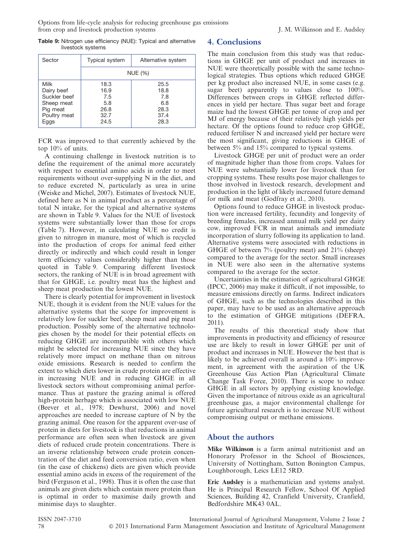Table 9: Nitrogen use efficiency (NUE): Typical and alternative livestock systems

| Sector                                                                               | Typical system                                     | Alternative system                                 |
|--------------------------------------------------------------------------------------|----------------------------------------------------|----------------------------------------------------|
|                                                                                      |                                                    | <b>NUE (%)</b>                                     |
| Milk<br>Dairy beef<br>Suckler beef<br>Sheep meat<br>Pig meat<br>Poultry meat<br>Eggs | 18.3<br>16.9<br>7.5<br>5.8<br>26.8<br>32.7<br>24.5 | 25.5<br>18.8<br>7.8<br>6.8<br>28.3<br>37.4<br>28.3 |

FCR was improved to that currently achieved by the top 10% of units.

A continuing challenge in livestock nutrition is to define the requirement of the animal more accurately with respect to essential amino acids in order to meet requirements without over-supplying N in the diet, and to reduce excreted N, particularly as urea in urine (Weiske and Michel, 2007). Estimates of livestock NUE, defined here as N in animal product as a percentage of total N intake, for the typical and alternative systems are shown in Table 9. Values for the NUE of livestock systems were substantially lower than those for crops (Table 7). However, in calculating NUE no credit is given to nitrogen in manure, most of which is recycled into the production of crops for animal feed either directly or indirectly and which could result in longer term efficiency values considerably higher than those quoted in Table 9. Comparing different livestock sectors, the ranking of NUE is in broad agreement with that for GHGE, i.e. poultry meat has the highest and sheep meat production the lowest NUE.

There is clearly potential for improvement in livestock NUE, though it is evident from the NUE values for the alternative systems that the scope for improvement is relatively low for suckler beef, sheep meat and pig meat production. Possibly some of the alternative technologies chosen by the model for their potential effects on reducing GHGE are incompatible with others which might be selected for increasing NUE since they have relatively more impact on methane than on nitrous oxide emissions. Research is needed to confirm the extent to which diets lower in crude protein are effective in increasing NUE and in reducing GHGE in all livestock sectors without compromising animal performance. Thus at pasture the grazing animal is offered high-protein herbage which is associated with low NUE (Beever et al., 1978; Dewhurst, 2006) and novel approaches are needed to increase capture of N by the grazing animal. One reason for the apparent over-use of protein in diets for livestock is that reductions in animal performance are often seen when livestock are given diets of reduced crude protein concentrations. There is an inverse relationship between crude protein concentration of the diet and feed conversion ratio, even when (in the case of chickens) diets are given which provide essential amino acids in excess of the requirement of the bird (Ferguson et al., 1998). Thus it is often the case that animals are given diets which contain more protein than is optimal in order to maximise daily growth and minimise days to slaughter.

### 4. Conclusions

The main conclusion from this study was that reductions in GHGE per unit of product and increases in NUE were theoretically possible with the same technological strategies. Thus options which reduced GHGE per kg product also increased NUE, in some cases (e.g. sugar beet) apparently to values close to  $100\%$ . Differences between crops in GHGE reflected differences in yield per hectare. Thus sugar beet and forage maize had the lowest GHGE per tonne of crop and per MJ of energy because of their relatively high yields per hectare. Of the options found to reduce crop GHGE, reduced fertiliser N and increased yield per hectare were the most significant, giving reductions in GHGE of between 5% and 15% compared to typical systems.

Livestock GHGE per unit of product were an order of magnitude higher than those from crops. Values for NUE were substantially lower for livestock than for cropping systems. These results pose major challenges to those involved in livestock research, development and production in the light of likely increased future demand for milk and meat (Godfray et al., 2010).

Options found to reduce GHGE in livestock production were increased fertility, fecundity and longevity of breeding females, increased annual milk yield per dairy cow, improved FCR in meat animals and immediate incorporation of slurry following its application to land. Alternative systems were associated with reductions in GHGE of between 7% (poultry meat) and 21% (sheep) compared to the average for the sector. Small increases in NUE were also seen in the alternative systems compared to the average for the sector.

Uncertainties in the estimation of agricultural GHGE (IPCC, 2006) may make it difficult, if not impossible, to measure emissions directly on farms. Indirect indicators of GHGE, such as the technologies described in this paper, may have to be used as an alternative approach to the estimation of GHGE mitigations (DEFRA, 2011).

The results of this theoretical study show that improvements in productivity and efficiency of resource use are likely to result in lower GHGE per unit of product and increases in NUE. However the best that is likely to be achieved overall is around a  $10\%$  improvement, in agreement with the aspiration of the UK Greenhouse Gas Action Plan (Agricultural Climate Change Task Force, 2010). There is scope to reduce GHGE in all sectors by applying existing knowledge. Given the importance of nitrous oxide as an agricultural greenhouse gas, a major environmental challenge for future agricultural research is to increase NUE without compromising output or methane emissions.

### About the authors

Mike Wilkinson is a farm animal nutritionist and an Honorary Professor in the School of Biosciences, University of Nottingham, Sutton Bonington Campus, Loughborough, Leics LE12 5RD.

Eric Audsley is a mathematician and systems analyst. He is Principal Research Fellow, School Of Applied Sciences, Building 42, Cranfield University, Cranfield, Bedfordshire MK43 0AL.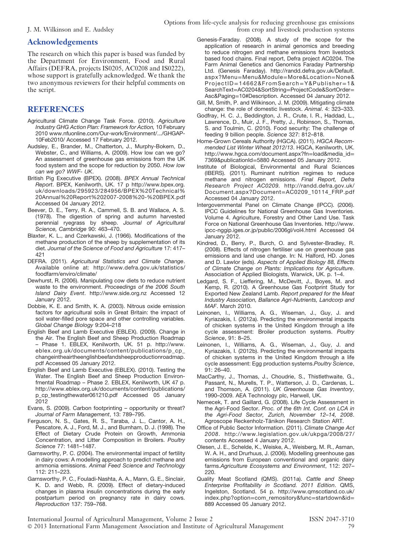### Acknowledgements

The research on which this paper is based was funded by the Department for Environment, Food and Rural Affairs (DEFRA, projects IS0205, AC0208 and IS0222), whose support is gratefully acknowledged. We thank the two anonymous reviewers for their helpful comments on the script.

### REFERENCES

- Agricultural Climate Change Task Force. (2010). Agriculture Industry GHG Action Plan: Framework for Action, 10 February 2010 www.nfuonline.com/Our-work/Environment/.../GHGAP-10Feb2010/ Accessed 17 February 2012.
- Audsley, E., Brander, M., Chatterton, J., Murphy-Bokern, D., Webster, C., and Williams, A. (2009). How low can we go? An assessment of greenhouse gas emissions from the UK food system and the scope for reduction by 2050. How low can we go? WWF- UK.
- British Pig Executive (BPEX). (2008). BPEX Annual Technical Report. BPEX, Kenilworth, UK. 17 p http://www.bpex.org. uk/downloads/295923/284956/BPEX%20Technical% 20Annual%20Report%202007-2008%20-%20BPEX.pdf Accessed 04 January 2012.
- Beever, D. E., Terry, R. A., Cammell, S. B. and Wallace, A. S. (1978). The digestion of spring and autumn harvested perennial ryegrass by sheep. Journal of Agricultural Science, Cambridge 90: 463–470.
- Blaxter, K. L., and Czerkawski, J. (1966). Modifications of the methane production of the sheep by supplementation of its diet. Journal of the Science of Food and Agriculture 17: 417– 421
- DEFRA. (2011). Agricultural Statistics and Climate Change. Available online at: http://www.defra.gov.uk/statistics/ foodfarm/enviro/climate/
- Dewhurst, R. (2006). Manipulating cow diets to reduce nutrient waste to the environment. Proceedings of the 2006 South Island Dairy Event. http://www.side.org.nz Accessed 12 January 2012.
- Dobbie, K. E. and Smith, K. A. (2003). Nitrous oxide emission factors for agricultural soils in Great Britain: the impact of soil water-filled pore space and other controlling variables. Global Change Biology 9:204–218
- English Beef and Lamb Executive (EBLEX). (2009). Change in the Air. The English Beef and Sheep Production Roadmap – Phase 1. EBLEX, Kenilworth, UK. 51 p. http://www. eblex.org.uk/documents/content/publications/p\_cp\_ changeintheairtheenglishbeefandsheepproductionroadmap. pdf Accessed 05 January 2012.
- English Beef and Lamb Executive (EBLEX). (2010). Testing the Water. The English Beef and Sheep Production Environfmental Roadmap – Phase 2. EBLEX, Kenilworth, UK 47 p. http://www.eblex.org.uk/documents/content/publications/ p\_cp\_testingthewater061210.pdf Accessed 05 January 2012
- Evans, S. (2009). Carbon footprinting opportunity or threat? Journal of Farm Management, 13: 789–795.
- Ferguson, N. S., Gates, R. S., Taraba, J. L., Cantor, A. H., Pescatore, A. J., Ford, M. J., and Burnham, D. J. (1998). The Effect of Dietary Crude Protein on Growth, Ammonia Concentration, and Litter Composition in Broilers. Poultry Science 77: 1481–1487.
- Garnsworthy, P. C. (2004). The environmental impact of fertility in dairy cows: A modelling approach to predict methane and ammonia emissions. Animal Feed Science and Technology 112: 211–223.
- Garnsworthy, P. C., Fouladi-Nashta, A. A., Mann, G. E., Sinclair, K. D. and Webb, R. (2009). Effect of dietary-induced changes in plasma insulin concentrations during the early postpartum period on pregnancy rate in dairy cows. Reproduction 137: 759–768.
- Genesis-Faraday. (2008). A study of the scope for the application of research in animal genomics and breeding to reduce nitrogen and methane emissions from livestock based food chains. Final report, Defra project AC0204. The Farm Animal Genetics and Genomics Faraday Partnership Ltd. (Genesis Faraday). http://randd.defra.gov.uk/Default. aspx?Menu=Menu&Module=More&Location=None& ProjectID=14662&FromSearch=Y&Publisher=1& SearchText=AC0204&SortString=ProjectCode&SortOrder= Asc&Paging=10#Description. Accessed 04 January 2012.
- Gill, M, Smith, P. and Wilkinson, J. M. (2009). Mitigating climate change: the role of domestic livestock. Animal. 4: 323–333.
- Godfray, H. C. J., Beddington, J. R., Crute, I. R., Haddad, L., Lawrence, D., Muir, J. F., Pretty, J., Robinson, S., Thomas, S. and Toulmin, C. (2010). Food security: The challenge of feeding 9 billion people. Science 327: 812–818.
- Home-Grown Cereals Authority (HGCA). (2011). HGCA Recommended List Winter Wheat 2012/13. HGCA, Kenilworth, UK. http://www.hgca.com/document.aspx?fn=load&media\_id= 7369&publicationId=5880 Accessed 05 January 2012.
- Institute of Biological, Environmental and Rural Sciences (IBERS). (2011). Ruminant nutrition regimes to reduce methane and nitrogen emissions. Final Report, Defra Research Project AC0209. http://randd.defra.gov.uk/ Document.aspx?Document=AC0209\_10114\_FRP.pdf Accessed 04 January 2012.
- Intergovernmental Panel on Climate Change (IPCC). (2006). IPCC Guidelines for National Greenhouse Gas Inventories. Volume 4. Agriculture, Forestry and Other Land Use. Task Force on National Greenhouse Gas Inventories. http://www. ipcc-nggip.iges.or.jp/public/2006gl/vol4.html Accessed 04 January 2012.
- Kindred, D., Berry, P., Burch, O. and Sylvester-Bradley, R. (2008). Effects of nitrogen fertiliser use on greenhouse gas emissions and land use change. In: N. Halford, HD. Jones and D. Lawlor (eds). Aspects of Applied Biology 88, Effects of Climate Change on Plants: Implications for Agriculture. Association of Applied Biologists, Warwick, UK. p. 1–4.
- Ledgard, S. F., Lieffering, M., McDevitt, J., Boyes, M. and Kemp, R. (2010). A Greenhouse Gas Footprint Study for Exported New Zealand Lamb. Report prepared for the Meat Industry Association, Ballance Agri-Nutrients, Landcorp and MAF. March 2010.
- Leinonen, I., Williams, A. G., Wiseman, J., Guy, J. and Kyriazakis, I. (2012a). Predicting the environmental impacts of chicken systems in the United Kingdom through a life cycle assessment: Broiler production systems. Poultry Science, 91: 8–25.
- Leinonen, I., Williams, A. G., Wiseman, J., Guy, J. and Kyriazakis, I. (2012b). Predicting the environmental impacts of chicken systems in the United Kingdom through a life cycle assessment: Egg production systems.Poultry Science, 91: 26–40.
- MacCarthy, J., Thomas, J., Choudrie, S., Thistlethwaite, G., Passant, N., Murells, T. P., Watterson, J. D., Cardenas, L. and Thomson, A. (2011). UK Greenhouse Gas Inventory, 1990–2009. AEA Technology plc, Harwell, UK.
- Nemecek, T. and Gaillard, G. (2008). Life Cycle Assessment in the Agri-Food Sector. Proc. of the 6th Int. Conf. on LCA in the Agri-Food Sector, Zurich, November 12–14, 2008. Agroscope Reckenholz-Tänikon Research Station ART.
- Office of Public Sector Information. (2011). Climate Change Act 2008. http://www.legislation.gov.uk/ukpga/2008/27/ contents Accessed 4 January 2012.
- Olesen, J. E., Schelde, K., Weiske, A., Weisberg, M. R., Asman, W. A. H., and Drurhuus, J. (2006). Modelling greenhouse gas emissions from European conventional and organic dairy farms.Agriculture Ecosystems and Environment, 112: 207– 220.
- Quality Meat Scotland (QMS). (2011a). Cattle and Sheep Enterprise Profitability in Scotland. 2011 Edition. QMS, Ingelston, Scotland. 54 p. http://www.qmscotland.co.uk/ index.php?option=com\_remository&func=startdown&id= 889 Accessed 05 January 2012.

International Journal of Agricultural Management, Volume 2 Issue 2 ISSN 2047-3710 ' 2013 International Farm Management Association and Institute of Agricultural Management 79